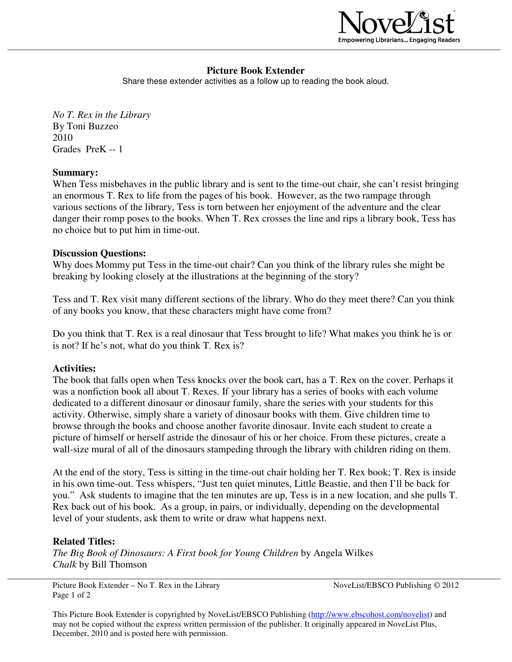

# **Picture Book Extender**

Share these extender activities as a follow up to reading the book aloud.

*No T. Rex in the Library*  By Toni Buzzeo 2010 Grades PreK -- 1

#### **Summary:**

When Tess misbehaves in the public library and is sent to the time-out chair, she can't resist bringing an enormous T. Rex to life from the pages of his book. However, as the two rampage through various sections of the library, Tess is torn between her enjoyment of the adventure and the clear danger their romp poses to the books. When T. Rex crosses the line and rips a library book, Tess has no choice but to put him in time-out.

#### **Discussion Questions:**

Why does Mommy put Tess in the time-out chair? Can you think of the library rules she might be breaking by looking closely at the illustrations at the beginning of the story?

Tess and T. Rex visit many different sections of the library. Who do they meet there? Can you think of any books you know, that these characters might have come from?

Do you think that T. Rex is a real dinosaur that Tess brought to life? What makes you think he is or is not? If he's not, what do you think T. Rex is?

### **Activities:**

The book that falls open when Tess knocks over the book cart, has a T. Rex on the cover. Perhaps it was a nonfiction book all about T. Rexes. If your library has a series of books with each volume dedicated to a different dinosaur or dinosaur family, share the series with your students for this activity. Otherwise, simply share a variety of dinosaur books with them. Give children time to browse through the books and choose another favorite dinosaur. Invite each student to create a picture of himself or herself astride the dinosaur of his or her choice. From these pictures, create a wall-size mural of all of the dinosaurs stampeding through the library with children riding on them.

At the end of the story, Tess is sitting in the time-out chair holding her T. Rex book; T. Rex is inside in his own time-out. Tess whispers, "Just ten quiet minutes, Little Beastie, and then I'll be back for you." Ask students to imagine that the ten minutes are up, Tess is in a new location, and she pulls T. Rex back out of his book. As a group, in pairs, or individually, depending on the developmental level of your students, ask them to write or draw what happens next.

### **Related Titles:**

*The Big Book of Dinosaurs: A First book for Young Children* by Angela Wilkes *Chalk* by Bill Thomson

Picture Book Extender – No T. Rex in the Library NoveList/EBSCO Publishing © 2012 Page 1 of 2

\_\_\_\_\_\_\_\_\_\_\_\_\_\_\_\_\_\_\_\_\_\_\_\_\_\_\_\_\_\_\_\_\_\_\_\_\_\_\_\_\_\_\_\_\_\_\_\_\_\_\_\_\_\_\_\_\_\_\_\_\_\_\_\_\_\_\_\_\_\_\_\_\_\_\_\_\_\_\_\_\_\_\_\_\_\_\_\_\_\_\_\_\_\_\_\_\_\_\_\_\_\_\_\_\_\_\_\_\_\_\_\_\_\_\_\_\_\_

This Picture Book Extender is copyrighted by NoveList/EBSCO Publishing (http://www.ebscohost.com/novelist) and may not be copied without the express written permission of the publisher. It originally appeared in NoveList Plus, December, 2010 and is posted here with permission.